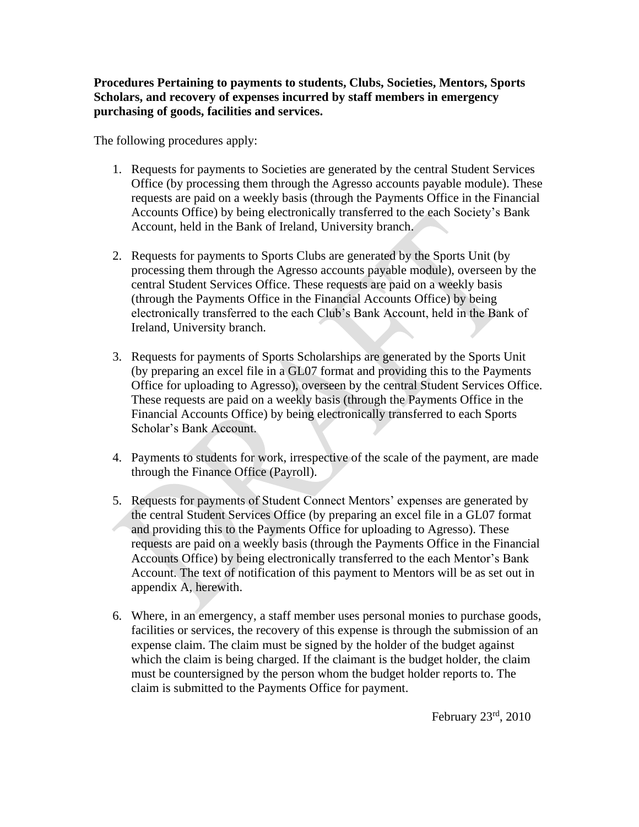**Procedures Pertaining to payments to students, Clubs, Societies, Mentors, Sports Scholars, and recovery of expenses incurred by staff members in emergency purchasing of goods, facilities and services.**

The following procedures apply:

- 1. Requests for payments to Societies are generated by the central Student Services Office (by processing them through the Agresso accounts payable module). These requests are paid on a weekly basis (through the Payments Office in the Financial Accounts Office) by being electronically transferred to the each Society's Bank Account, held in the Bank of Ireland, University branch.
- 2. Requests for payments to Sports Clubs are generated by the Sports Unit (by processing them through the Agresso accounts payable module), overseen by the central Student Services Office. These requests are paid on a weekly basis (through the Payments Office in the Financial Accounts Office) by being electronically transferred to the each Club's Bank Account, held in the Bank of Ireland, University branch.
- 3. Requests for payments of Sports Scholarships are generated by the Sports Unit (by preparing an excel file in a GL07 format and providing this to the Payments Office for uploading to Agresso), overseen by the central Student Services Office. These requests are paid on a weekly basis (through the Payments Office in the Financial Accounts Office) by being electronically transferred to each Sports Scholar's Bank Account.
- 4. Payments to students for work, irrespective of the scale of the payment, are made through the Finance Office (Payroll).
- 5. Requests for payments of Student Connect Mentors' expenses are generated by the central Student Services Office (by preparing an excel file in a GL07 format and providing this to the Payments Office for uploading to Agresso). These requests are paid on a weekly basis (through the Payments Office in the Financial Accounts Office) by being electronically transferred to the each Mentor's Bank Account. The text of notification of this payment to Mentors will be as set out in appendix A, herewith.
- 6. Where, in an emergency, a staff member uses personal monies to purchase goods, facilities or services, the recovery of this expense is through the submission of an expense claim. The claim must be signed by the holder of the budget against which the claim is being charged. If the claimant is the budget holder, the claim must be countersigned by the person whom the budget holder reports to. The claim is submitted to the Payments Office for payment.

February  $23<sup>rd</sup>$ ,  $2010$